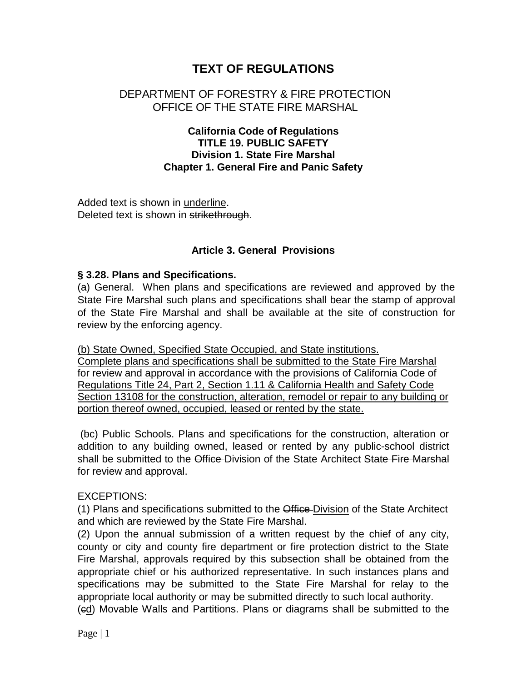# **TEXT OF REGULATIONS**

## DEPARTMENT OF FORESTRY & FIRE PROTECTION OFFICE OF THE STATE FIRE MARSHAL

### **California Code of Regulations TITLE 19. PUBLIC SAFETY Division 1. State Fire Marshal Chapter 1. General Fire and Panic Safety**

Added text is shown in underline. Deleted text is shown in strikethrough.

## **Article 3. General Provisions**

#### **§ 3.28. Plans and Specifications.**

(a) General. When plans and specifications are reviewed and approved by the State Fire Marshal such plans and specifications shall bear the stamp of approval of the State Fire Marshal and shall be available at the site of construction for review by the enforcing agency.

(b) State Owned, Specified State Occupied, and State institutions. Complete plans and specifications shall be submitted to the State Fire Marshal for review and approval in accordance with the provisions of California Code of Regulations Title 24, Part 2, Section 1.11 & California Health and Safety Code Section 13108 for the construction, alteration, remodel or repair to any building or portion thereof owned, occupied, leased or rented by the state.

(bc) Public Schools. Plans and specifications for the construction, alteration or addition to any building owned, leased or rented by any public-school district shall be submitted to the Office Division of the State Architect State Fire Marshal for review and approval.

### EXCEPTIONS:

(1) Plans and specifications submitted to the Office Division of the State Architect and which are reviewed by the State Fire Marshal.

(2) Upon the annual submission of a written request by the chief of any city, county or city and county fire department or fire protection district to the State Fire Marshal, approvals required by this subsection shall be obtained from the appropriate chief or his authorized representative. In such instances plans and specifications may be submitted to the State Fire Marshal for relay to the appropriate local authority or may be submitted directly to such local authority.

(cd) Movable Walls and Partitions. Plans or diagrams shall be submitted to the